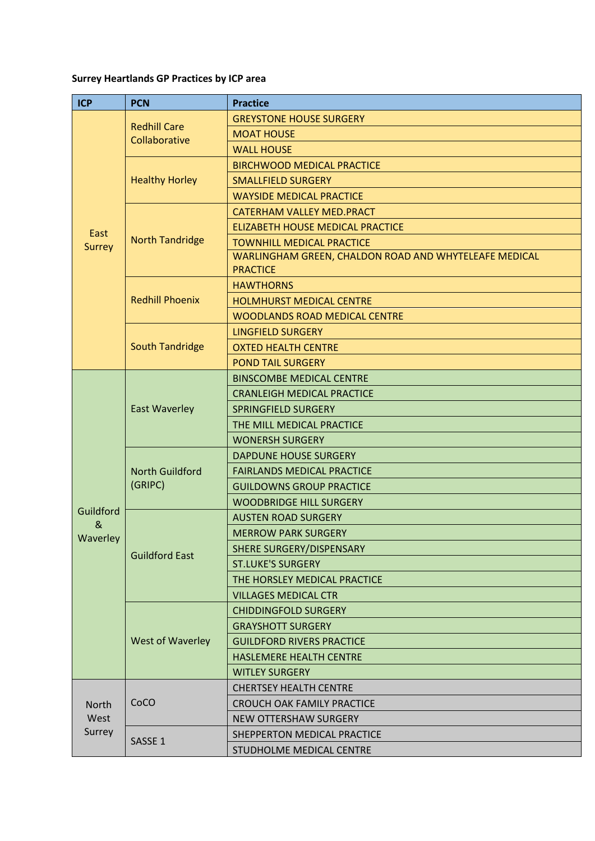## **Surrey Heartlands GP Practices by ICP area**

| <b>ICP</b>              | <b>PCN</b>                           | <b>Practice</b>                                       |
|-------------------------|--------------------------------------|-------------------------------------------------------|
|                         | <b>Redhill Care</b><br>Collaborative | <b>GREYSTONE HOUSE SURGERY</b>                        |
|                         |                                      | <b>MOAT HOUSE</b>                                     |
|                         |                                      | <b>WALL HOUSE</b>                                     |
|                         | <b>Healthy Horley</b>                | <b>BIRCHWOOD MEDICAL PRACTICE</b>                     |
|                         |                                      | <b>SMALLFIELD SURGERY</b>                             |
|                         |                                      | <b>WAYSIDE MEDICAL PRACTICE</b>                       |
| East<br>Surrey          | <b>North Tandridge</b>               | <b>CATERHAM VALLEY MED.PRACT</b>                      |
|                         |                                      | <b>ELIZABETH HOUSE MEDICAL PRACTICE</b>               |
|                         |                                      | <b>TOWNHILL MEDICAL PRACTICE</b>                      |
|                         |                                      | WARLINGHAM GREEN, CHALDON ROAD AND WHYTELEAFE MEDICAL |
|                         |                                      | <b>PRACTICE</b>                                       |
|                         | <b>Redhill Phoenix</b>               | <b>HAWTHORNS</b>                                      |
|                         |                                      | <b>HOLMHURST MEDICAL CENTRE</b>                       |
|                         |                                      | <b>WOODLANDS ROAD MEDICAL CENTRE</b>                  |
|                         |                                      | <b>LINGFIELD SURGERY</b>                              |
|                         | <b>South Tandridge</b>               | <b>OXTED HEALTH CENTRE</b>                            |
|                         |                                      | <b>POND TAIL SURGERY</b>                              |
|                         |                                      | <b>BINSCOMBE MEDICAL CENTRE</b>                       |
|                         | <b>East Waverley</b>                 | <b>CRANLEIGH MEDICAL PRACTICE</b>                     |
|                         |                                      | SPRINGFIELD SURGERY                                   |
|                         |                                      | THE MILL MEDICAL PRACTICE                             |
|                         |                                      | <b>WONERSH SURGERY</b>                                |
|                         |                                      | <b>DAPDUNE HOUSE SURGERY</b>                          |
|                         | <b>North Guildford</b>               | <b>FAIRLANDS MEDICAL PRACTICE</b>                     |
|                         | (GRIPC)                              | <b>GUILDOWNS GROUP PRACTICE</b>                       |
| Guildford               |                                      | <b>WOODBRIDGE HILL SURGERY</b>                        |
| &                       | <b>Guildford East</b>                | <b>AUSTEN ROAD SURGERY</b>                            |
| Waverley                |                                      | <b>MERROW PARK SURGERY</b>                            |
|                         |                                      | SHERE SURGERY/DISPENSARY                              |
|                         |                                      | <b>ST.LUKE'S SURGERY</b>                              |
|                         |                                      | THE HORSLEY MEDICAL PRACTICE                          |
|                         |                                      | <b>VILLAGES MEDICAL CTR</b>                           |
|                         | <b>West of Waverley</b>              | <b>CHIDDINGFOLD SURGERY</b>                           |
|                         |                                      | <b>GRAYSHOTT SURGERY</b>                              |
|                         |                                      | <b>GUILDFORD RIVERS PRACTICE</b>                      |
|                         |                                      | <b>HASLEMERE HEALTH CENTRE</b>                        |
|                         |                                      | <b>WITLEY SURGERY</b>                                 |
| North<br>West<br>Surrey | CoCO                                 | <b>CHERTSEY HEALTH CENTRE</b>                         |
|                         |                                      | CROUCH OAK FAMILY PRACTICE                            |
|                         |                                      | <b>NEW OTTERSHAW SURGERY</b>                          |
|                         | SASSE <sub>1</sub>                   | SHEPPERTON MEDICAL PRACTICE                           |
|                         |                                      | STUDHOLME MEDICAL CENTRE                              |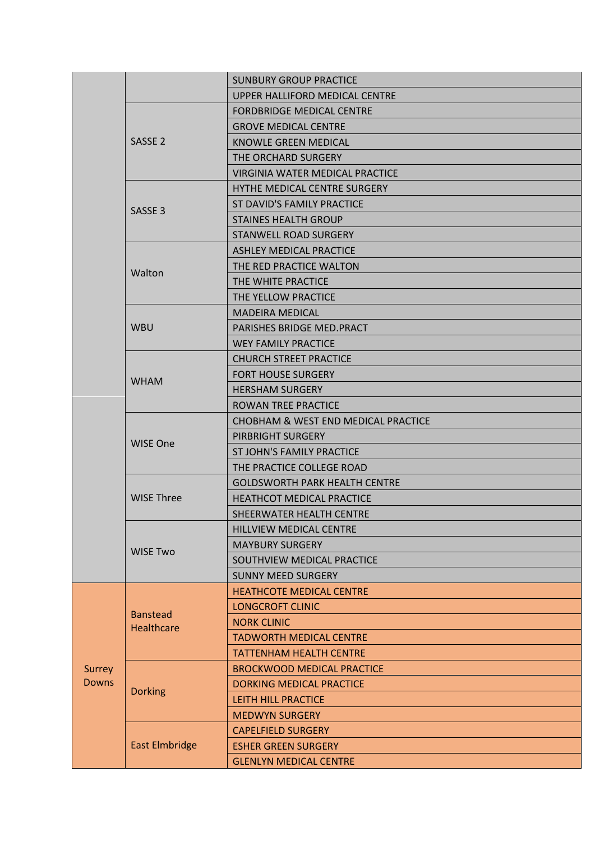|                        |                                      | <b>SUNBURY GROUP PRACTICE</b>        |
|------------------------|--------------------------------------|--------------------------------------|
|                        |                                      | UPPER HALLIFORD MEDICAL CENTRE       |
|                        | SASSE <sub>2</sub>                   | <b>FORDBRIDGE MEDICAL CENTRE</b>     |
|                        |                                      | <b>GROVE MEDICAL CENTRE</b>          |
|                        |                                      | <b>KNOWLE GREEN MEDICAL</b>          |
|                        |                                      | THE ORCHARD SURGERY                  |
|                        |                                      | VIRGINIA WATER MEDICAL PRACTICE      |
|                        | SASSE <sub>3</sub>                   | HYTHE MEDICAL CENTRE SURGERY         |
|                        |                                      | ST DAVID'S FAMILY PRACTICE           |
|                        |                                      | <b>STAINES HEALTH GROUP</b>          |
|                        |                                      | STANWELL ROAD SURGERY                |
|                        | Walton                               | <b>ASHLEY MEDICAL PRACTICE</b>       |
|                        |                                      | THE RED PRACTICE WALTON              |
|                        |                                      | THE WHITE PRACTICE                   |
|                        |                                      | THE YELLOW PRACTICE                  |
|                        | <b>WBU</b>                           | <b>MADEIRA MEDICAL</b>               |
|                        |                                      | PARISHES BRIDGE MED. PRACT           |
|                        |                                      | <b>WEY FAMILY PRACTICE</b>           |
|                        | <b>WHAM</b>                          | <b>CHURCH STREET PRACTICE</b>        |
|                        |                                      | <b>FORT HOUSE SURGERY</b>            |
|                        |                                      | <b>HERSHAM SURGERY</b>               |
|                        |                                      | <b>ROWAN TREE PRACTICE</b>           |
|                        |                                      | CHOBHAM & WEST END MEDICAL PRACTICE  |
|                        | <b>WISE One</b>                      | PIRBRIGHT SURGERY                    |
|                        |                                      | ST JOHN'S FAMILY PRACTICE            |
|                        |                                      | THE PRACTICE COLLEGE ROAD            |
|                        | <b>WISE Three</b>                    | <b>GOLDSWORTH PARK HEALTH CENTRE</b> |
|                        |                                      | <b>HEATHCOT MEDICAL PRACTICE</b>     |
|                        |                                      | SHEERWATER HEALTH CENTRE             |
|                        | <b>WISE Two</b>                      | HILLVIEW MEDICAL CENTRE              |
|                        |                                      | <b>MAYBURY SURGERY</b>               |
|                        |                                      | SOUTHVIEW MEDICAL PRACTICE           |
|                        |                                      | <b>SUNNY MEED SURGERY</b>            |
|                        | <b>Banstead</b><br><b>Healthcare</b> | <b>HEATHCOTE MEDICAL CENTRE</b>      |
|                        |                                      | <b>LONGCROFT CLINIC</b>              |
|                        |                                      | <b>NORK CLINIC</b>                   |
|                        |                                      | <b>TADWORTH MEDICAL CENTRE</b>       |
|                        |                                      | <b>TATTENHAM HEALTH CENTRE</b>       |
| Surrey<br><b>Downs</b> | <b>Dorking</b>                       | <b>BROCKWOOD MEDICAL PRACTICE</b>    |
|                        |                                      | <b>DORKING MEDICAL PRACTICE</b>      |
|                        |                                      | LEITH HILL PRACTICE                  |
|                        |                                      | <b>MEDWYN SURGERY</b>                |
|                        | <b>East Elmbridge</b>                | <b>CAPELFIELD SURGERY</b>            |
|                        |                                      | <b>ESHER GREEN SURGERY</b>           |
|                        |                                      | <b>GLENLYN MEDICAL CENTRE</b>        |